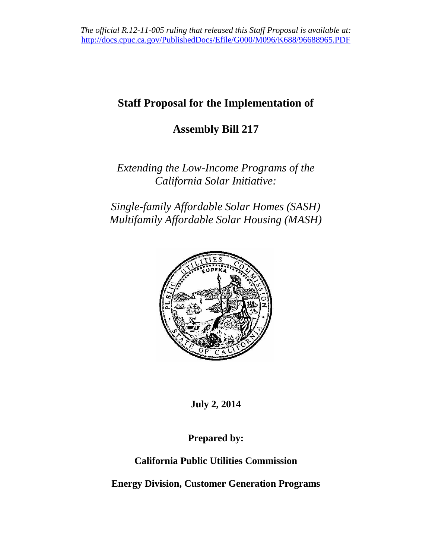# **Staff Proposal for the Implementation of**

# **Assembly Bill 217**

*Extending the Low-Income Programs of the California Solar Initiative:*

*Single-family Affordable Solar Homes (SASH) Multifamily Affordable Solar Housing (MASH)*



**July 2, 2014**

**Prepared by:**

**California Public Utilities Commission**

**Energy Division, Customer Generation Programs**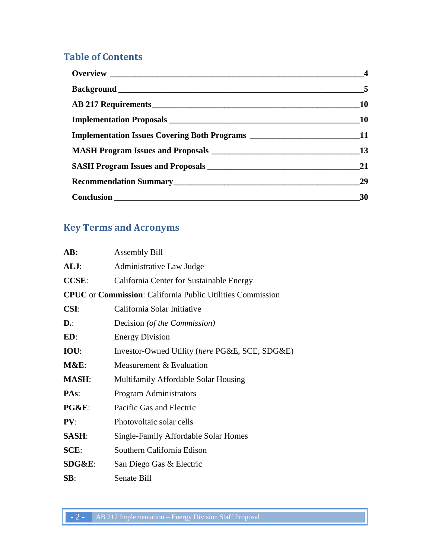## **Table of Contents**

|                                                                                   | $\overline{5}$ |
|-----------------------------------------------------------------------------------|----------------|
|                                                                                   | <b>10</b>      |
|                                                                                   | <b>10</b>      |
| Implementation Issues Covering Both Programs __________________________________11 |                |
|                                                                                   | 13             |
|                                                                                   | 21             |
|                                                                                   | 29             |
|                                                                                   | 30             |

## **Key Terms and Acronyms**

| AB:              | <b>Assembly Bill</b>                                                      |
|------------------|---------------------------------------------------------------------------|
| ALJ:             | Administrative Law Judge                                                  |
| <b>CCSE:</b>     | California Center for Sustainable Energy                                  |
|                  | <b>CPUC</b> or <b>Commission</b> : California Public Utilities Commission |
| <b>CSI:</b>      | California Solar Initiative                                               |
| $\mathbf{D}$ .:  | Decision (of the Commission)                                              |
| ED:              | <b>Energy Division</b>                                                    |
| IOU:             | Investor-Owned Utility (here PG&E, SCE, SDG&E)                            |
| <b>M&amp;E:</b>  | Measurement & Evaluation                                                  |
| <b>MASH:</b>     | Multifamily Affordable Solar Housing                                      |
| PAs:             | <b>Program Administrators</b>                                             |
| <b>PG&amp;E:</b> | Pacific Gas and Electric                                                  |
| PV:              | Photovoltaic solar cells                                                  |
| <b>SASH:</b>     | Single-Family Affordable Solar Homes                                      |
| SCE:             | Southern California Edison                                                |
| SDG&E:           | San Diego Gas & Electric                                                  |
| SB:              | Senate Bill                                                               |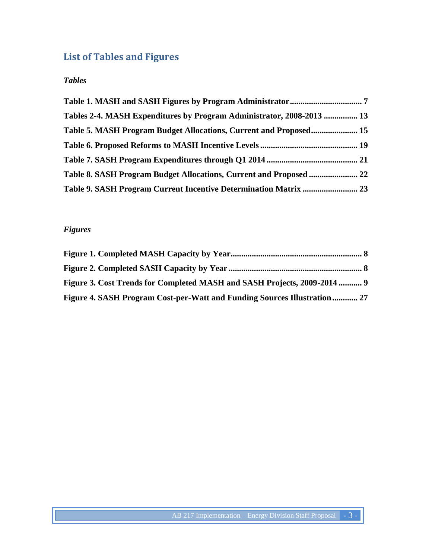# **List of Tables and Figures**

## *Tables*

| Tables 2-4. MASH Expenditures by Program Administrator, 2008-2013  13 |  |
|-----------------------------------------------------------------------|--|
| Table 5. MASH Program Budget Allocations, Current and Proposed 15     |  |
|                                                                       |  |
|                                                                       |  |
| Table 8. SASH Program Budget Allocations, Current and Proposed  22    |  |
|                                                                       |  |

## *Figures*

| Figure 3. Cost Trends for Completed MASH and SASH Projects, 2009-2014  9 |  |
|--------------------------------------------------------------------------|--|
| Figure 4. SASH Program Cost-per-Watt and Funding Sources Illustration 27 |  |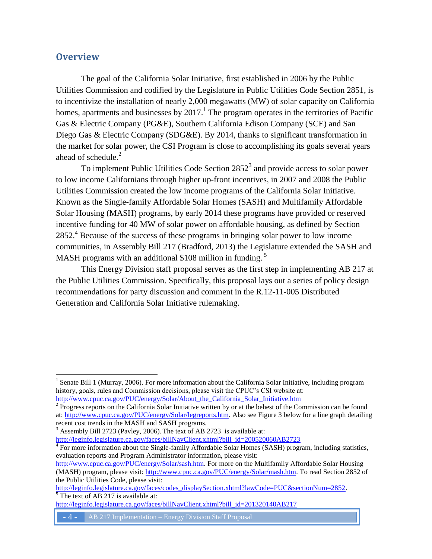## <span id="page-3-0"></span>**Overview**

 $\overline{a}$ 

The goal of the California Solar Initiative, first established in 2006 by the Public Utilities Commission and codified by the Legislature in Public Utilities Code Section 2851, is to incentivize the installation of nearly 2,000 megawatts (MW) of solar capacity on California homes, apartments and businesses by  $2017$ .<sup>1</sup> The program operates in the territories of Pacific Gas & Electric Company (PG&E), Southern California Edison Company (SCE) and San Diego Gas & Electric Company (SDG&E). By 2014, thanks to significant transformation in the market for solar power, the CSI Program is close to accomplishing its goals several years ahead of schedule.<sup>2</sup>

To implement Public Utilities Code Section  $2852<sup>3</sup>$  and provide access to solar power to low income Californians through higher up-front incentives, in 2007 and 2008 the Public Utilities Commission created the low income programs of the California Solar Initiative. Known as the Single-family Affordable Solar Homes (SASH) and Multifamily Affordable Solar Housing (MASH) programs, by early 2014 these programs have provided or reserved incentive funding for 40 MW of solar power on affordable housing, as defined by Section 2852.<sup>4</sup> Because of the success of these programs in bringing solar power to low income communities, in Assembly Bill 217 (Bradford, 2013) the Legislature extended the SASH and MASH programs with an additional \$108 million in funding.<sup>5</sup>

This Energy Division staff proposal serves as the first step in implementing AB 217 at the Public Utilities Commission. Specifically, this proposal lays out a series of policy design recommendations for party discussion and comment in the R.12-11-005 Distributed Generation and California Solar Initiative rulemaking.

```
http://www.cpuc.ca.gov/PUC/energy/Solar/About_the_California_Solar_Initiative.htm
```
 $2^{2}$  Progress reports on the California Solar Initiative written by or at the behest of the Commission can be found at[: http://www.cpuc.ca.gov/PUC/energy/Solar/legreports.htm.](http://www.cpuc.ca.gov/PUC/energy/Solar/legreports.htm) Also see Figure 3 below for a line graph detailing recent cost trends in the MASH and SASH programs.

<sup>3</sup> Assembly Bill 2723 (Pavley, 2006). The text of AB 2723 is available at: [http://leginfo.legislature.ca.gov/faces/billNavClient.xhtml?bill\\_id=200520060AB2723](http://leginfo.legislature.ca.gov/faces/billNavClient.xhtml?bill_id=200520060AB2723)

<sup>4</sup> For more information about the Single-family Affordable Solar Homes (SASH) program, including statistics, evaluation reports and Program Administrator information, please visit:

[http://www.cpuc.ca.gov/PUC/energy/Solar/sash.htm.](http://www.cpuc.ca.gov/PUC/energy/Solar/sash.htm) For more on the Multifamily Affordable Solar Housing (MASH) program, please visit: [http://www.cpuc.ca.gov/PUC/energy/Solar/mash.htm.](http://www.cpuc.ca.gov/PUC/energy/Solar/mash.htm) To read Section 2852 of the Public Utilities Code, please visit:

[http://leginfo.legislature.ca.gov/faces/codes\\_displaySection.xhtml?lawCode=PUC&sectionNum=2852.](http://leginfo.legislature.ca.gov/faces/codes_displaySection.xhtml?lawCode=PUC§ionNum=2852)  $\frac{1}{5}$  The text of AB 217 is available at:

[http://leginfo.legislature.ca.gov/faces/billNavClient.xhtml?bill\\_id=201320140AB217](http://leginfo.legislature.ca.gov/faces/billNavClient.xhtml?bill_id=201320140AB217)

<sup>&</sup>lt;sup>1</sup> Senate Bill 1 (Murray, 2006). For more information about the California Solar Initiative, including program history, goals, rules and Commission decisions, please visit the CPUC's CSI website at: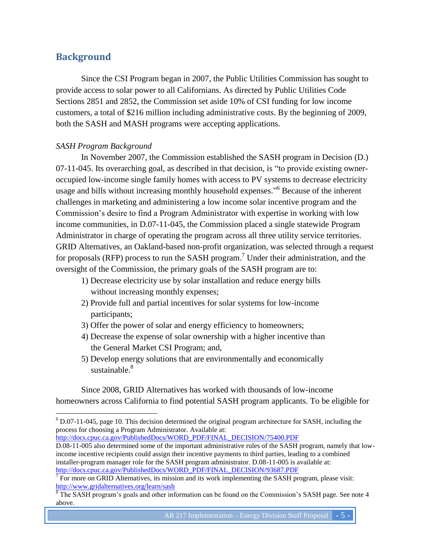## <span id="page-4-0"></span>**Background**

 $\overline{a}$ 

Since the CSI Program began in 2007, the Public Utilities Commission has sought to provide access to solar power to all Californians. As directed by Public Utilities Code Sections 2851 and 2852, the Commission set aside 10% of CSI funding for low income customers, a total of \$216 million including administrative costs. By the beginning of 2009, both the SASH and MASH programs were accepting applications.

### *SASH Program Background*

In November 2007, the Commission established the SASH program in Decision (D.) 07-11-045. Its overarching goal, as described in that decision, is "to provide existing owneroccupied low-income single family homes with access to PV systems to decrease electricity usage and bills without increasing monthly household expenses." Because of the inherent challenges in marketing and administering a low income solar incentive program and the Commission's desire to find a Program Administrator with expertise in working with low income communities, in D.07-11-045, the Commission placed a single statewide Program Administrator in charge of operating the program across all three utility service territories. GRID Alternatives, an Oakland-based non-profit organization, was selected through a request for proposals (RFP) process to run the SASH program.<sup>7</sup> Under their administration, and the oversight of the Commission, the primary goals of the SASH program are to:

- 1) Decrease electricity use by solar installation and reduce energy bills without increasing monthly expenses;
- 2) Provide full and partial incentives for solar systems for low-income participants;
- 3) Offer the power of solar and energy efficiency to homeowners;
- 4) Decrease the expense of solar ownership with a higher incentive than the General Market CSI Program; and,
- 5) Develop energy solutions that are environmentally and economically sustainable $8$

Since 2008, GRID Alternatives has worked with thousands of low-income homeowners across California to find potential SASH program applicants. To be eligible for

[http://docs.cpuc.ca.gov/PublishedDocs/WORD\\_PDF/FINAL\\_DECISION/75400.PDF](http://docs.cpuc.ca.gov/PublishedDocs/WORD_PDF/FINAL_DECISION/75400.PDF)

<sup>6</sup> D.07-11-045, page 10. This decision determined the original program architecture for SASH, including the process for choosing a Program Administrator. Available at:

D.08-11-005 also determined some of the important administrative rules of the SASH program, namely that lowincome incentive recipients could assign their incentive payments to third parties, leading to a combined installer-program manager role for the SASH program administrator. D.08-11-005 is available at: [http://docs.cpuc.ca.gov/PublishedDocs/WORD\\_PDF/FINAL\\_DECISION/93687.PDF](http://docs.cpuc.ca.gov/PublishedDocs/WORD_PDF/FINAL_DECISION/93687.PDF)

 $<sup>7</sup>$  For more on GRID Alternatives, its mission and its work implementing the SASH program, please visit:</sup> <http://www.gridalternatives.org/learn/sash>

 $8$  The SASH program's goals and other information can be found on the Commission's SASH page. See note 4 above.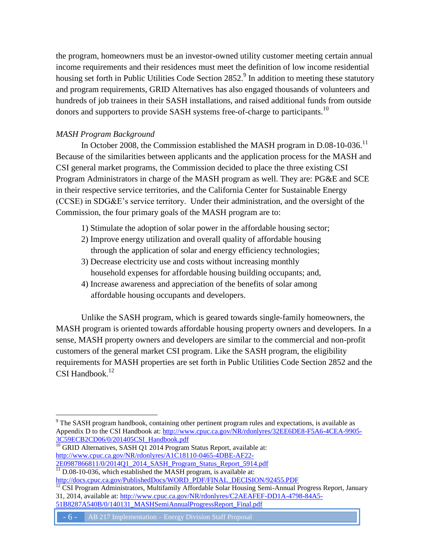the program, homeowners must be an investor-owned utility customer meeting certain annual income requirements and their residences must meet the definition of low income residential housing set forth in Public Utilities Code Section 2852. $\degree$  In addition to meeting these statutory and program requirements, GRID Alternatives has also engaged thousands of volunteers and hundreds of job trainees in their SASH installations, and raised additional funds from outside donors and supporters to provide SASH systems free-of-charge to participants.<sup>10</sup>

## *MASH Program Background*

 $\overline{a}$ 

In October 2008, the Commission established the MASH program in D.08-10-036.<sup>11</sup> Because of the similarities between applicants and the application process for the MASH and CSI general market programs, the Commission decided to place the three existing CSI Program Administrators in charge of the MASH program as well. They are: PG&E and SCE in their respective service territories, and the California Center for Sustainable Energy (CCSE) in SDG&E's service territory. Under their administration, and the oversight of the Commission, the four primary goals of the MASH program are to:

- 1) Stimulate the adoption of solar power in the affordable housing sector;
- 2) Improve energy utilization and overall quality of affordable housing through the application of solar and energy efficiency technologies;
- 3) Decrease electricity use and costs without increasing monthly household expenses for affordable housing building occupants; and,
- 4) Increase awareness and appreciation of the benefits of solar among affordable housing occupants and developers.

Unlike the SASH program, which is geared towards single-family homeowners, the MASH program is oriented towards affordable housing property owners and developers. In a sense, MASH property owners and developers are similar to the commercial and non-profit customers of the general market CSI program. Like the SASH program, the eligibility requirements for MASH properties are set forth in Public Utilities Code Section 2852 and the CSI Handbook.<sup>12</sup>

 $\frac{10}{10}$  GRID Alternatives, SASH Q1 2014 Program Status Report, available at: [http://www.cpuc.ca.gov/NR/rdonlyres/A1C18110-0465-4DBE-AF22-](http://www.cpuc.ca.gov/NR/rdonlyres/A1C18110-0465-4DBE-AF22-2E0987866811/0/2014Q1_2014_SASH_Program_Status_Report_5914.pdf) [2E0987866811/0/2014Q1\\_2014\\_SASH\\_Program\\_Status\\_Report\\_5914.pdf](http://www.cpuc.ca.gov/NR/rdonlyres/A1C18110-0465-4DBE-AF22-2E0987866811/0/2014Q1_2014_SASH_Program_Status_Report_5914.pdf)

- 6 - AB 217 Implementation – Energy Division Staff Proposal

<sup>&</sup>lt;sup>9</sup> The SASH program handbook, containing other pertinent program rules and expectations, is available as Appendix D to the CSI Handbook at: [http://www.cpuc.ca.gov/NR/rdonlyres/32EE6DE8-F5A6-4CEA-9905-](http://www.cpuc.ca.gov/NR/rdonlyres/32EE6DE8-F5A6-4CEA-9905-3C59ECB2CD06/0/201405CSI_Handbook.pdf) [3C59ECB2CD06/0/201405CSI\\_Handbook.pdf](http://www.cpuc.ca.gov/NR/rdonlyres/32EE6DE8-F5A6-4CEA-9905-3C59ECB2CD06/0/201405CSI_Handbook.pdf)

 $\frac{11}{11}$  D.08-10-036, which established the MASH program, is available at: [http://docs.cpuc.ca.gov/PublishedDocs/WORD\\_PDF/FINAL\\_DECISION/92455.PDF](http://docs.cpuc.ca.gov/PublishedDocs/WORD_PDF/FINAL_DECISION/92455.PDF)

<sup>&</sup>lt;sup>12</sup> CSI Program Administrators, Multifamily Affordable Solar Housing Semi-Annual Progress Report, January 31, 2014, available at: [http://www.cpuc.ca.gov/NR/rdonlyres/C2AEAFEF-DD1A-4798-84A5-](http://www.cpuc.ca.gov/NR/rdonlyres/C2AEAFEF-DD1A-4798-84A5-51B8287A540B/0/140131_MASHSemiAnnualProgressReport_Final.pdf)

[<sup>51</sup>B8287A540B/0/140131\\_MASHSemiAnnualProgressReport\\_Final.pdf](http://www.cpuc.ca.gov/NR/rdonlyres/C2AEAFEF-DD1A-4798-84A5-51B8287A540B/0/140131_MASHSemiAnnualProgressReport_Final.pdf)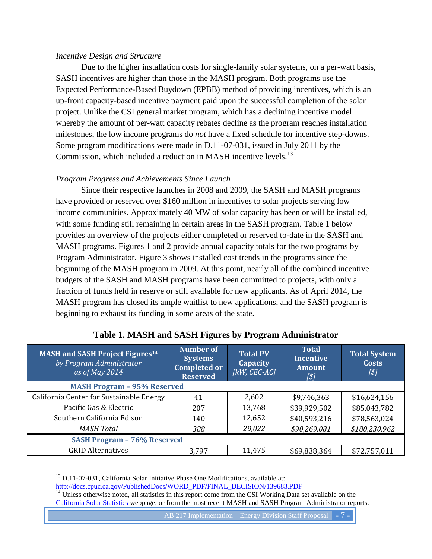#### *Incentive Design and Structure*

Due to the higher installation costs for single-family solar systems, on a per-watt basis, SASH incentives are higher than those in the MASH program. Both programs use the Expected Performance-Based Buydown (EPBB) method of providing incentives, which is an up-front capacity-based incentive payment paid upon the successful completion of the solar project. Unlike the CSI general market program, which has a declining incentive model whereby the amount of per-watt capacity rebates decline as the program reaches installation milestones, the low income programs do *not* have a fixed schedule for incentive step-downs. Some program modifications were made in D.11-07-031, issued in July 2011 by the Commission, which included a reduction in MASH incentive levels.<sup>13</sup>

### *Program Progress and Achievements Since Launch*

Since their respective launches in 2008 and 2009, the SASH and MASH programs have provided or reserved over \$160 million in incentives to solar projects serving low income communities. Approximately 40 MW of solar capacity has been or will be installed, with some funding still remaining in certain areas in the SASH program. Table 1 below provides an overview of the projects either completed or reserved to-date in the SASH and MASH programs. Figures 1 and 2 provide annual capacity totals for the two programs by Program Administrator. Figure 3 shows installed cost trends in the programs since the beginning of the MASH program in 2009. At this point, nearly all of the combined incentive budgets of the SASH and MASH programs have been committed to projects, with only a fraction of funds held in reserve or still available for new applicants. As of April 2014, the MASH program has closed its ample waitlist to new applications, and the SASH program is beginning to exhaust its funding in some areas of the state.

<span id="page-6-0"></span>

| <b>MASH and SASH Project Figures<sup>14</sup></b><br>by Program Administrator<br>as of May 2014 | <b>Number of</b><br><b>Systems</b><br><b>Completed or</b><br><b>Reserved</b> | <b>Total PV</b><br><b>Capacity</b><br>[kW, CEC-AC] | <b>Total</b><br><b>Incentive</b><br><b>Amount</b><br>[\$] | <b>Total System</b><br><b>Costs</b><br>[\$] |
|-------------------------------------------------------------------------------------------------|------------------------------------------------------------------------------|----------------------------------------------------|-----------------------------------------------------------|---------------------------------------------|
| <b>MASH Program - 95% Reserved</b>                                                              |                                                                              |                                                    |                                                           |                                             |
| California Center for Sustainable Energy                                                        | 41                                                                           | 2,602                                              | \$9,746,363                                               | \$16,624,156                                |
| Pacific Gas & Electric                                                                          | 207                                                                          | 13,768                                             | \$39,929,502                                              | \$85,043,782                                |
| Southern California Edison                                                                      | 140                                                                          | 12,652                                             | \$40,593,216                                              | \$78,563,024                                |
| <b>MASH Total</b>                                                                               | 388                                                                          | 29,022                                             | \$90,269,081                                              | \$180,230,962                               |
| <b>SASH Program - 76% Reserved</b>                                                              |                                                                              |                                                    |                                                           |                                             |
| <b>GRID Alternatives</b>                                                                        | 3,797                                                                        | 11,475                                             | \$69,838,364                                              | \$72,757,011                                |

## **Table 1. MASH and SASH Figures by Program Administrator**

 $13$  D.11-07-031, California Solar Initiative Phase One Modifications, available at: [http://docs.cpuc.ca.gov/PublishedDocs/WORD\\_PDF/FINAL\\_DECISION/139683.PDF](http://docs.cpuc.ca.gov/PublishedDocs/WORD_PDF/FINAL_DECISION/139683.PDF)

 $\overline{a}$ 

<sup>14</sup> Unless otherwise noted, all statistics in this report come from the CSI Working Data set available on the [California Solar Statistics](http://californiasolarstatistics.ca.gov/current_data_files/) webpage, or from the most recent MASH and SASH Program Administrator reports.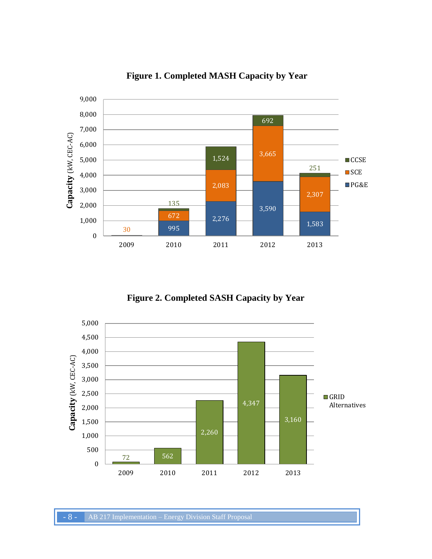<span id="page-7-0"></span>

**Figure 1. Completed MASH Capacity by Year**

**Figure 2. Completed SASH Capacity by Year**

<span id="page-7-1"></span>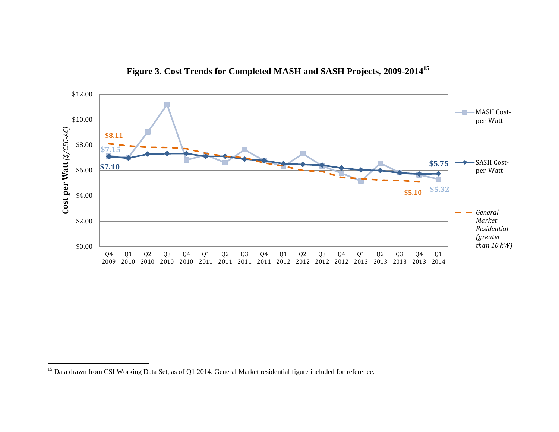Figure 3. Cost Trends for Completed MASH and SASH Projects, 2009-2014<sup>15</sup>

<span id="page-8-0"></span>

<sup>&</sup>lt;sup>15</sup> Data drawn from CSI Working Data Set, as of Q1 2014. General Market residential figure included for reference.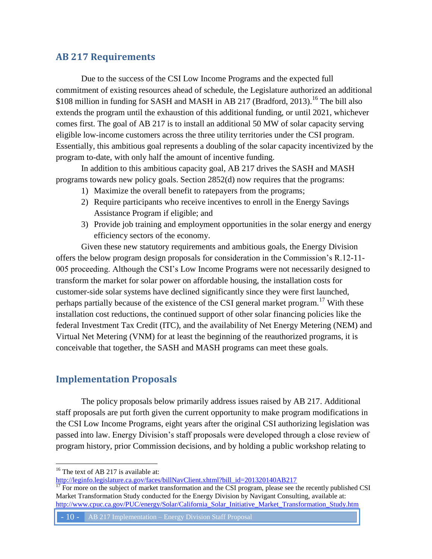## <span id="page-9-0"></span>**AB 217 Requirements**

Due to the success of the CSI Low Income Programs and the expected full commitment of existing resources ahead of schedule, the Legislature authorized an additional \$108 million in funding for SASH and MASH in AB 217 (Bradford, 2013).<sup>16</sup> The bill also extends the program until the exhaustion of this additional funding, or until 2021, whichever comes first. The goal of AB 217 is to install an additional 50 MW of solar capacity serving eligible low-income customers across the three utility territories under the CSI program. Essentially, this ambitious goal represents a doubling of the solar capacity incentivized by the program to-date, with only half the amount of incentive funding.

In addition to this ambitious capacity goal, AB 217 drives the SASH and MASH programs towards new policy goals. Section 2852(d) now requires that the programs:

- 1) Maximize the overall benefit to ratepayers from the programs;
- 2) Require participants who receive incentives to enroll in the Energy Savings Assistance Program if eligible; and
- 3) Provide job training and employment opportunities in the solar energy and energy efficiency sectors of the economy.

Given these new statutory requirements and ambitious goals, the Energy Division offers the below program design proposals for consideration in the Commission's R.12-11- 005 proceeding. Although the CSI's Low Income Programs were not necessarily designed to transform the market for solar power on affordable housing, the installation costs for customer-side solar systems have declined significantly since they were first launched, perhaps partially because of the existence of the CSI general market program.<sup>17</sup> With these installation cost reductions, the continued support of other solar financing policies like the federal Investment Tax Credit (ITC), and the availability of Net Energy Metering (NEM) and Virtual Net Metering (VNM) for at least the beginning of the reauthorized programs, it is conceivable that together, the SASH and MASH programs can meet these goals.

## <span id="page-9-1"></span>**Implementation Proposals**

The policy proposals below primarily address issues raised by AB 217. Additional staff proposals are put forth given the current opportunity to make program modifications in the CSI Low Income Programs, eight years after the original CSI authorizing legislation was passed into law. Energy Division's staff proposals were developed through a close review of program history, prior Commission decisions, and by holding a public workshop relating to

 $\overline{a}$ 

- 10 - AB 217 Implementation – Energy Division Staff Proposal

 $16$  The text of AB 217 is available at:

[http://leginfo.legislature.ca.gov/faces/billNavClient.xhtml?bill\\_id=201320140AB217](http://leginfo.legislature.ca.gov/faces/billNavClient.xhtml?bill_id=201320140AB217)

 $\frac{17}{17}$  For more on the subject of market transformation and the CSI program, please see the recently published CSI Market Transformation Study conducted for the Energy Division by Navigant Consulting, available at: [http://www.cpuc.ca.gov/PUC/energy/Solar/California\\_Solar\\_Initiative\\_Market\\_Transformation\\_Study.htm](http://www.cpuc.ca.gov/PUC/energy/Solar/California_Solar_Initiative_Market_Transformation_Study.htm)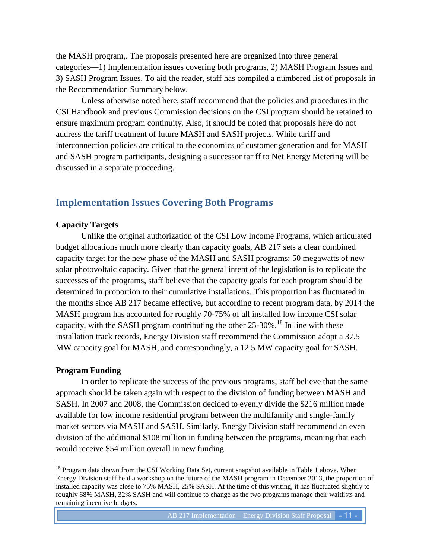the MASH program,. The proposals presented here are organized into three general categories—1) Implementation issues covering both programs, 2) MASH Program Issues and 3) SASH Program Issues. To aid the reader, staff has compiled a numbered list of proposals in the Recommendation Summary below.

Unless otherwise noted here, staff recommend that the policies and procedures in the CSI Handbook and previous Commission decisions on the CSI program should be retained to ensure maximum program continuity. Also, it should be noted that proposals here do not address the tariff treatment of future MASH and SASH projects. While tariff and interconnection policies are critical to the economics of customer generation and for MASH and SASH program participants, designing a successor tariff to Net Energy Metering will be discussed in a separate proceeding.

## <span id="page-10-0"></span>**Implementation Issues Covering Both Programs**

#### **Capacity Targets**

Unlike the original authorization of the CSI Low Income Programs, which articulated budget allocations much more clearly than capacity goals, AB 217 sets a clear combined capacity target for the new phase of the MASH and SASH programs: 50 megawatts of new solar photovoltaic capacity. Given that the general intent of the legislation is to replicate the successes of the programs, staff believe that the capacity goals for each program should be determined in proportion to their cumulative installations. This proportion has fluctuated in the months since AB 217 became effective, but according to recent program data, by 2014 the MASH program has accounted for roughly 70-75% of all installed low income CSI solar capacity, with the SASH program contributing the other  $25\text{-}30\%$ .<sup>18</sup> In line with these installation track records, Energy Division staff recommend the Commission adopt a 37.5 MW capacity goal for MASH, and correspondingly, a 12.5 MW capacity goal for SASH.

#### **Program Funding**

 $\overline{a}$ 

In order to replicate the success of the previous programs, staff believe that the same approach should be taken again with respect to the division of funding between MASH and SASH. In 2007 and 2008, the Commission decided to evenly divide the \$216 million made available for low income residential program between the multifamily and single-family market sectors via MASH and SASH. Similarly, Energy Division staff recommend an even division of the additional \$108 million in funding between the programs, meaning that each would receive \$54 million overall in new funding.

<sup>&</sup>lt;sup>18</sup> Program data drawn from the CSI Working Data Set, current snapshot available in Table 1 above. When Energy Division staff held a workshop on the future of the MASH program in December 2013, the proportion of installed capacity was close to 75% MASH, 25% SASH. At the time of this writing, it has fluctuated slightly to roughly 68% MASH, 32% SASH and will continue to change as the two programs manage their waitlists and remaining incentive budgets.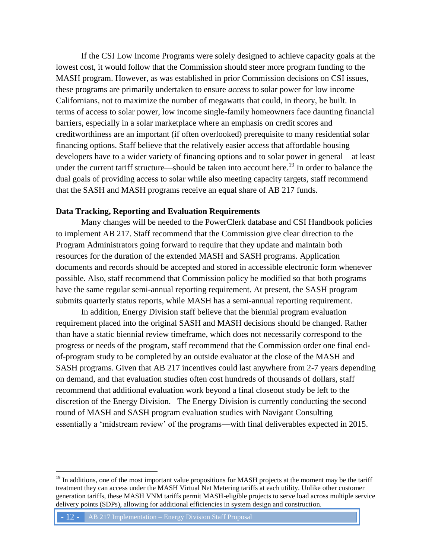If the CSI Low Income Programs were solely designed to achieve capacity goals at the lowest cost, it would follow that the Commission should steer more program funding to the MASH program. However, as was established in prior Commission decisions on CSI issues, these programs are primarily undertaken to ensure *access* to solar power for low income Californians, not to maximize the number of megawatts that could, in theory, be built. In terms of access to solar power, low income single-family homeowners face daunting financial barriers, especially in a solar marketplace where an emphasis on credit scores and creditworthiness are an important (if often overlooked) prerequisite to many residential solar financing options. Staff believe that the relatively easier access that affordable housing developers have to a wider variety of financing options and to solar power in general—at least under the current tariff structure—should be taken into account here.<sup>19</sup> In order to balance the dual goals of providing access to solar while also meeting capacity targets, staff recommend that the SASH and MASH programs receive an equal share of AB 217 funds.

#### **Data Tracking, Reporting and Evaluation Requirements**

Many changes will be needed to the PowerClerk database and CSI Handbook policies to implement AB 217. Staff recommend that the Commission give clear direction to the Program Administrators going forward to require that they update and maintain both resources for the duration of the extended MASH and SASH programs. Application documents and records should be accepted and stored in accessible electronic form whenever possible. Also, staff recommend that Commission policy be modified so that both programs have the same regular semi-annual reporting requirement. At present, the SASH program submits quarterly status reports, while MASH has a semi-annual reporting requirement.

In addition, Energy Division staff believe that the biennial program evaluation requirement placed into the original SASH and MASH decisions should be changed. Rather than have a static biennial review timeframe, which does not necessarily correspond to the progress or needs of the program, staff recommend that the Commission order one final endof-program study to be completed by an outside evaluator at the close of the MASH and SASH programs. Given that AB 217 incentives could last anywhere from 2-7 years depending on demand, and that evaluation studies often cost hundreds of thousands of dollars, staff recommend that additional evaluation work beyond a final closeout study be left to the discretion of the Energy Division. The Energy Division is currently conducting the second round of MASH and SASH program evaluation studies with Navigant Consulting essentially a 'midstream review' of the programs—with final deliverables expected in 2015.

<sup>&</sup>lt;sup>19</sup> In additions, one of the most important value propositions for MASH projects at the moment may be the tariff treatment they can access under the MASH Virtual Net Metering tariffs at each utility. Unlike other customer generation tariffs, these MASH VNM tariffs permit MASH-eligible projects to serve load across multiple service delivery points (SDPs), allowing for additional efficiencies in system design and construction.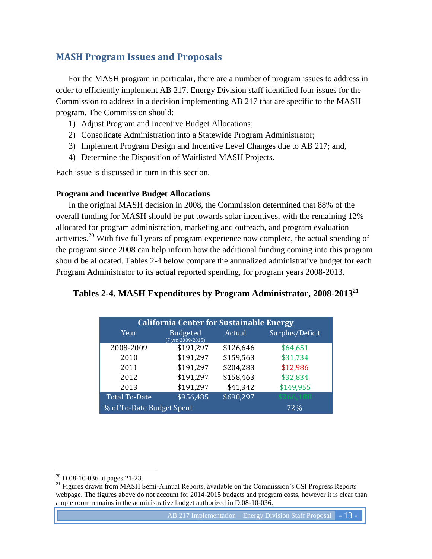## <span id="page-12-0"></span>**MASH Program Issues and Proposals**

For the MASH program in particular, there are a number of program issues to address in order to efficiently implement AB 217. Energy Division staff identified four issues for the Commission to address in a decision implementing AB 217 that are specific to the MASH program. The Commission should:

- 1) Adjust Program and Incentive Budget Allocations;
- 2) Consolidate Administration into a Statewide Program Administrator;
- 3) Implement Program Design and Incentive Level Changes due to AB 217; and,
- 4) Determine the Disposition of Waitlisted MASH Projects.

Each issue is discussed in turn in this section.

### **Program and Incentive Budget Allocations**

In the original MASH decision in 2008, the Commission determined that 88% of the overall funding for MASH should be put towards solar incentives, with the remaining 12% allocated for program administration, marketing and outreach, and program evaluation activities.<sup>20</sup> With five full years of program experience now complete, the actual spending of the program since 2008 can help inform how the additional funding coming into this program should be allocated. Tables 2-4 below compare the annualized administrative budget for each Program Administrator to its actual reported spending, for program years 2008-2013.

## <span id="page-12-1"></span>**Tables 2-4. MASH Expenditures by Program Administrator, 2008-2013<sup>21</sup>**

| <b>California Center for Sustainable Energy</b> |                                       |           |                 |  |
|-------------------------------------------------|---------------------------------------|-----------|-----------------|--|
| Year                                            | <b>Budgeted</b><br>(7 yrs, 2009-2015) | Actual    | Surplus/Deficit |  |
| 2008-2009                                       | \$191,297                             | \$126,646 | \$64,651        |  |
| 2010                                            | \$191,297                             | \$159,563 | \$31,734        |  |
| 2011                                            | \$191,297                             | \$204,283 | \$12,986        |  |
| 2012                                            | \$191,297                             | \$158,463 | \$32,834        |  |
| 2013                                            | \$191,297                             | \$41,342  | \$149,955       |  |
| <b>Total To-Date</b>                            | \$956,485                             | \$690,297 | \$266,188       |  |
| % of To-Date Budget Spent                       |                                       |           | 72%             |  |

 $20$  D.08-10-036 at pages 21-23.

<sup>&</sup>lt;sup>21</sup> Figures drawn from MASH Semi-Annual Reports, available on the Commission's CSI Progress Reports webpage. The figures above do not account for 2014-2015 budgets and program costs, however it is clear than ample room remains in the administrative budget authorized in D.08-10-036.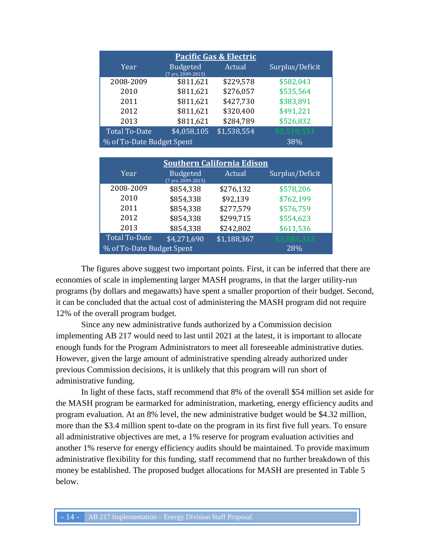| <b>Pacific Gas &amp; Electric</b> |                                                   |             |                 |  |
|-----------------------------------|---------------------------------------------------|-------------|-----------------|--|
| Year                              | <b>Budgeted</b><br>$(7 \text{ vrs}, 2009 - 2015)$ | Actual      | Surplus/Deficit |  |
| 2008-2009                         | \$811,621                                         | \$229,578   | \$582,043       |  |
| 2010                              | \$811,621                                         | \$276,057   | \$535,564       |  |
| 2011                              | \$811,621                                         | \$427,730   | \$383,891       |  |
| 2012                              | \$811,621                                         | \$320,400   | \$491,221       |  |
| 2013                              | \$811,621                                         | \$284,789   | \$526,832       |  |
| <b>Total To-Date</b>              | \$4,058,105                                       | \$1,538,554 | \$2,519,551     |  |
| % of To-Date Budget Spent<br>38%  |                                                   |             |                 |  |

| <b>Southern California Edison</b> |                                       |             |                 |  |
|-----------------------------------|---------------------------------------|-------------|-----------------|--|
| Year                              | <b>Budgeted</b><br>(7 yrs, 2009-2015) | Actual      | Surplus/Deficit |  |
| 2008-2009                         | \$854,338                             | \$276,132   | \$578,206       |  |
| 2010                              | \$854,338                             | \$92,139    | \$762,199       |  |
| 2011                              | \$854,338                             | \$277,579   | \$576,759       |  |
| 2012                              | \$854,338                             | \$299,715   | \$554,623       |  |
| 2013                              | \$854,338                             | \$242,802   | \$611,536       |  |
| <b>Total To-Date</b>              | \$4,271,690                           | \$1,188,367 | \$3,083,323     |  |
| % of To-Date Budget Spent         |                                       |             | 28%             |  |

The figures above suggest two important points. First, it can be inferred that there are economies of scale in implementing larger MASH programs, in that the larger utility-run programs (by dollars and megawatts) have spent a smaller proportion of their budget. Second, it can be concluded that the actual cost of administering the MASH program did not require 12% of the overall program budget.

Since any new administrative funds authorized by a Commission decision implementing AB 217 would need to last until 2021 at the latest, it is important to allocate enough funds for the Program Administrators to meet all foreseeable administrative duties. However, given the large amount of administrative spending already authorized under previous Commission decisions, it is unlikely that this program will run short of administrative funding.

In light of these facts, staff recommend that 8% of the overall \$54 million set aside for the MASH program be earmarked for administration, marketing, energy efficiency audits and program evaluation. At an 8% level, the new administrative budget would be \$4.32 million, more than the \$3.4 million spent to-date on the program in its first five full years. To ensure all administrative objectives are met, a 1% reserve for program evaluation activities and another 1% reserve for energy efficiency audits should be maintained. To provide maximum administrative flexibility for this funding, staff recommend that no further breakdown of this money be established. The proposed budget allocations for MASH are presented in Table 5 below.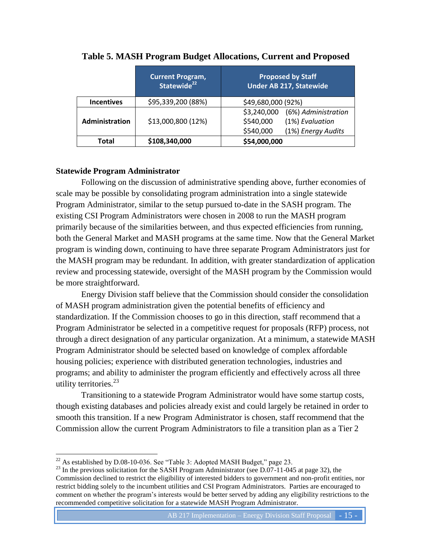<span id="page-14-0"></span>

|                   | <b>Current Program,</b><br>Statewide <sup>22</sup> | <b>Proposed by Staff</b><br><b>Under AB 217, Statewide</b> |
|-------------------|----------------------------------------------------|------------------------------------------------------------|
| <b>Incentives</b> | \$95,339,200 (88%)                                 | \$49,680,000 (92%)                                         |
|                   |                                                    | \$3,240,000<br>(6%) Administration                         |
| Administration    | \$13,000,800 (12%)                                 | \$540,000<br>(1%) Evaluation                               |
|                   |                                                    | \$540,000<br>(1%) Energy Audits                            |
| Total             | \$108,340,000                                      | \$54,000,000                                               |

### **Table 5. MASH Program Budget Allocations, Current and Proposed**

### **Statewide Program Administrator**

Following on the discussion of administrative spending above, further economies of scale may be possible by consolidating program administration into a single statewide Program Administrator, similar to the setup pursued to-date in the SASH program. The existing CSI Program Administrators were chosen in 2008 to run the MASH program primarily because of the similarities between, and thus expected efficiencies from running, both the General Market and MASH programs at the same time. Now that the General Market program is winding down, continuing to have three separate Program Administrators just for the MASH program may be redundant. In addition, with greater standardization of application review and processing statewide, oversight of the MASH program by the Commission would be more straightforward.

Energy Division staff believe that the Commission should consider the consolidation of MASH program administration given the potential benefits of efficiency and standardization. If the Commission chooses to go in this direction, staff recommend that a Program Administrator be selected in a competitive request for proposals (RFP) process, not through a direct designation of any particular organization. At a minimum, a statewide MASH Program Administrator should be selected based on knowledge of complex affordable housing policies; experience with distributed generation technologies, industries and programs; and ability to administer the program efficiently and effectively across all three utility territories.<sup>23</sup>

Transitioning to a statewide Program Administrator would have some startup costs, though existing databases and policies already exist and could largely be retained in order to smooth this transition. If a new Program Administrator is chosen, staff recommend that the Commission allow the current Program Administrators to file a transition plan as a Tier 2

 $\overline{a}$ <sup>22</sup> As established by D.08-10-036. See "Table 3: Adopted MASH Budget," page 23.

<sup>&</sup>lt;sup>23</sup> In the previous solicitation for the SASH Program Administrator (see D.07-11-045 at page 32), the Commission declined to restrict the eligibility of interested bidders to government and non-profit entities, nor restrict bidding solely to the incumbent utilities and CSI Program Administrators. Parties are encouraged to comment on whether the program's interests would be better served by adding any eligibility restrictions to the recommended competitive solicitation for a statewide MASH Program Administrator.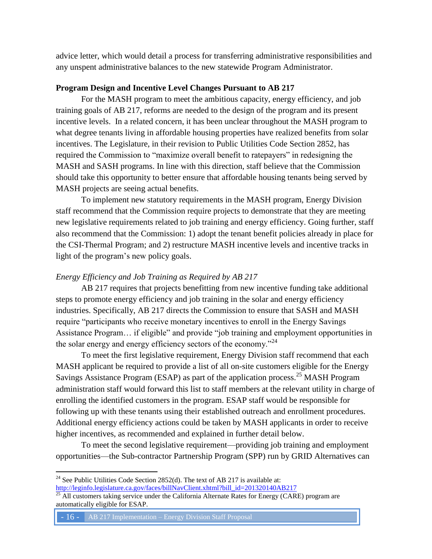advice letter, which would detail a process for transferring administrative responsibilities and any unspent administrative balances to the new statewide Program Administrator.

#### **Program Design and Incentive Level Changes Pursuant to AB 217**

For the MASH program to meet the ambitious capacity, energy efficiency, and job training goals of AB 217, reforms are needed to the design of the program and its present incentive levels. In a related concern, it has been unclear throughout the MASH program to what degree tenants living in affordable housing properties have realized benefits from solar incentives. The Legislature, in their revision to Public Utilities Code Section 2852, has required the Commission to "maximize overall benefit to ratepayers" in redesigning the MASH and SASH programs. In line with this direction, staff believe that the Commission should take this opportunity to better ensure that affordable housing tenants being served by MASH projects are seeing actual benefits.

To implement new statutory requirements in the MASH program, Energy Division staff recommend that the Commission require projects to demonstrate that they are meeting new legislative requirements related to job training and energy efficiency. Going further, staff also recommend that the Commission: 1) adopt the tenant benefit policies already in place for the CSI-Thermal Program; and 2) restructure MASH incentive levels and incentive tracks in light of the program's new policy goals.

#### *Energy Efficiency and Job Training as Required by AB 217*

AB 217 requires that projects benefitting from new incentive funding take additional steps to promote energy efficiency and job training in the solar and energy efficiency industries. Specifically, AB 217 directs the Commission to ensure that SASH and MASH require "participants who receive monetary incentives to enroll in the Energy Savings Assistance Program… if eligible" and provide "job training and employment opportunities in the solar energy and energy efficiency sectors of the economy. $1^{24}$ 

To meet the first legislative requirement, Energy Division staff recommend that each MASH applicant be required to provide a list of all on-site customers eligible for the Energy Savings Assistance Program (ESAP) as part of the application process.<sup>25</sup> MASH Program administration staff would forward this list to staff members at the relevant utility in charge of enrolling the identified customers in the program. ESAP staff would be responsible for following up with these tenants using their established outreach and enrollment procedures. Additional energy efficiency actions could be taken by MASH applicants in order to receive higher incentives, as recommended and explained in further detail below.

To meet the second legislative requirement—providing job training and employment opportunities—the Sub-contractor Partnership Program (SPP) run by GRID Alternatives can

<sup>&</sup>lt;sup>24</sup> See Public Utilities Code Section 2852(d). The text of AB 217 is available at:

[http://leginfo.legislature.ca.gov/faces/billNavClient.xhtml?bill\\_id=201320140AB217](http://leginfo.legislature.ca.gov/faces/billNavClient.xhtml?bill_id=201320140AB217)

 $^{25}$  All customers taking service under the California Alternate Rates for Energy (CARE) program are automatically eligible for ESAP.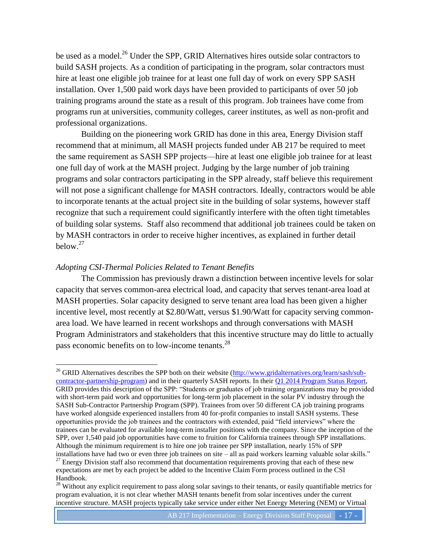be used as a model.<sup>26</sup> Under the SPP, GRID Alternatives hires outside solar contractors to build SASH projects. As a condition of participating in the program, solar contractors must hire at least one eligible job trainee for at least one full day of work on every SPP SASH installation. Over 1,500 paid work days have been provided to participants of over 50 job training programs around the state as a result of this program. Job trainees have come from programs run at universities, community colleges, career institutes, as well as non-profit and professional organizations.

Building on the pioneering work GRID has done in this area, Energy Division staff recommend that at minimum, all MASH projects funded under AB 217 be required to meet the same requirement as SASH SPP projects—hire at least one eligible job trainee for at least one full day of work at the MASH project. Judging by the large number of job training programs and solar contractors participating in the SPP already, staff believe this requirement will not pose a significant challenge for MASH contractors. Ideally, contractors would be able to incorporate tenants at the actual project site in the building of solar systems, however staff recognize that such a requirement could significantly interfere with the often tight timetables of building solar systems. Staff also recommend that additional job trainees could be taken on by MASH contractors in order to receive higher incentives, as explained in further detail  $below<sup>27</sup>$ 

#### *Adopting CSI-Thermal Policies Related to Tenant Benefits*

 $\overline{a}$ 

The Commission has previously drawn a distinction between incentive levels for solar capacity that serves common-area electrical load, and capacity that serves tenant-area load at MASH properties. Solar capacity designed to serve tenant area load has been given a higher incentive level, most recently at \$2.80/Watt, versus \$1.90/Watt for capacity serving commonarea load. We have learned in recent workshops and through conversations with MASH Program Administrators and stakeholders that this incentive structure may do little to actually pass economic benefits on to low-income tenants.<sup>28</sup>

<sup>&</sup>lt;sup>26</sup> GRID Alternatives describes the SPP both on their website [\(http://www.gridalternatives.org/learn/sash/sub](http://www.gridalternatives.org/learn/sash/sub-contractor-partnership-program)[contractor-partnership-program\)](http://www.gridalternatives.org/learn/sash/sub-contractor-partnership-program) and in their quarterly SASH reports. In their  $Q1 2014$  Program Status Report, GRID provides this description of the SPP: "Students or graduates of job training organizations may be provided with short-term paid work and opportunities for long-term job placement in the solar PV industry through the SASH Sub-Contractor Partnership Program (SPP). Trainees from over 50 different CA job training programs have worked alongside experienced installers from 40 for-profit companies to install SASH systems. These opportunities provide the job trainees and the contractors with extended, paid "field interviews" where the trainees can be evaluated for available long-term installer positions with the company. Since the inception of the SPP, over 1,540 paid job opportunities have come to fruition for California trainees through SPP installations. Although the minimum requirement is to hire one job trainee per SPP installation, nearly 15% of SPP installations have had two or even three job trainees on site – all as paid workers learning valuable solar skills."  $^{27}$  Energy Division staff also recommend that documentation requirements proving that each of these new

expectations are met by each project be added to the Incentive Claim Form process outlined in the CSI Handbook.

<sup>&</sup>lt;sup>28</sup> Without any explicit requirement to pass along solar savings to their tenants, or easily quantifiable metrics for program evaluation, it is not clear whether MASH tenants benefit from solar incentives under the current incentive structure. MASH projects typically take service under either Net Energy Metering (NEM) or Virtual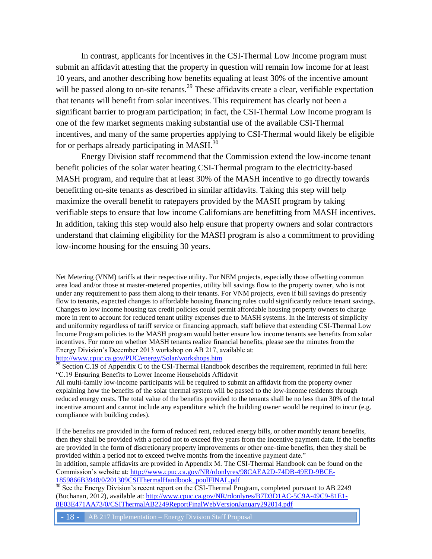In contrast, applicants for incentives in the CSI-Thermal Low Income program must submit an affidavit attesting that the property in question will remain low income for at least 10 years, and another describing how benefits equaling at least 30% of the incentive amount will be passed along to on-site tenants.<sup>29</sup> These affidavits create a clear, verifiable expectation that tenants will benefit from solar incentives. This requirement has clearly not been a significant barrier to program participation; in fact, the CSI-Thermal Low Income program is one of the few market segments making substantial use of the available CSI-Thermal incentives, and many of the same properties applying to CSI-Thermal would likely be eligible for or perhaps already participating in MASH. $^{30}$ 

Energy Division staff recommend that the Commission extend the low-income tenant benefit policies of the solar water heating CSI-Thermal program to the electricity-based MASH program, and require that at least 30% of the MASH incentive to go directly towards benefitting on-site tenants as described in similar affidavits. Taking this step will help maximize the overall benefit to ratepayers provided by the MASH program by taking verifiable steps to ensure that low income Californians are benefitting from MASH incentives. In addition, taking this step would also help ensure that property owners and solar contractors understand that claiming eligibility for the MASH program is also a commitment to providing low-income housing for the ensuing 30 years.

Net Metering (VNM) tariffs at their respective utility. For NEM projects, especially those offsetting common area load and/or those at master-metered properties, utility bill savings flow to the property owner, who is not under any requirement to pass them along to their tenants. For VNM projects, even if bill savings do presently flow to tenants, expected changes to affordable housing financing rules could significantly reduce tenant savings. Changes to low income housing tax credit policies could permit affordable housing property owners to charge more in rent to account for reduced tenant utility expenses due to MASH systems. In the interests of simplicity and uniformity regardless of tariff service or financing approach, staff believe that extending CSI-Thermal Low Income Program policies to the MASH program would better ensure low income tenants see benefits from solar incentives. For more on whether MASH tenants realize financial benefits, please see the minutes from the Energy Division's December 2013 workshop on AB 217, available at: <http://www.cpuc.ca.gov/PUC/energy/Solar/workshops.htm>

 $29$  Section C.19 of Appendix C to the CSI-Thermal Handbook describes the requirement, reprinted in full here: "C.19 Ensuring Benefits to Lower Income Households Affidavit

All multi-family low-income participants will be required to submit an affidavit from the property owner explaining how the benefits of the solar thermal system will be passed to the low-income residents through reduced energy costs. The total value of the benefits provided to the tenants shall be no less than 30% of the total incentive amount and cannot include any expenditure which the building owner would be required to incur (e.g. compliance with building codes).

If the benefits are provided in the form of reduced rent, reduced energy bills, or other monthly tenant benefits, then they shall be provided with a period not to exceed five years from the incentive payment date. If the benefits are provided in the form of discretionary property improvements or other one-time benefits, then they shall be provided within a period not to exceed twelve months from the incentive payment date."

In addition, sample affidavits are provided in Appendix M. The CSI-Thermal Handbook can be found on the Commission's website at: [http://www.cpuc.ca.gov/NR/rdonlyres/98CAEA2D-74DB-49ED-9BCE-](http://www.cpuc.ca.gov/NR/rdonlyres/98CAEA2D-74DB-49ED-9BCE-1859866B3948/0/201309CSIThermalHandbook_poolFINAL.pdf)[1859866B3948/0/201309CSIThermalHandbook\\_poolFINAL.pdf](http://www.cpuc.ca.gov/NR/rdonlyres/98CAEA2D-74DB-49ED-9BCE-1859866B3948/0/201309CSIThermalHandbook_poolFINAL.pdf)

<sup>30</sup> See the Energy Division's recent report on the CSI-Thermal Program, completed pursuant to AB 2249 (Buchanan, 2012), available at: [http://www.cpuc.ca.gov/NR/rdonlyres/B7D3D1AC-5C9A-49C9-81E1-](http://www.cpuc.ca.gov/NR/rdonlyres/B7D3D1AC-5C9A-49C9-81E1-8E03E471AA73/0/CSIThermalAB2249ReportFinalWebVersionJanuary292014.pdf) [8E03E471AA73/0/CSIThermalAB2249ReportFinalWebVersionJanuary292014.pdf](http://www.cpuc.ca.gov/NR/rdonlyres/B7D3D1AC-5C9A-49C9-81E1-8E03E471AA73/0/CSIThermalAB2249ReportFinalWebVersionJanuary292014.pdf)

- 18 - AB 217 Implementation – Energy Division Staff Proposal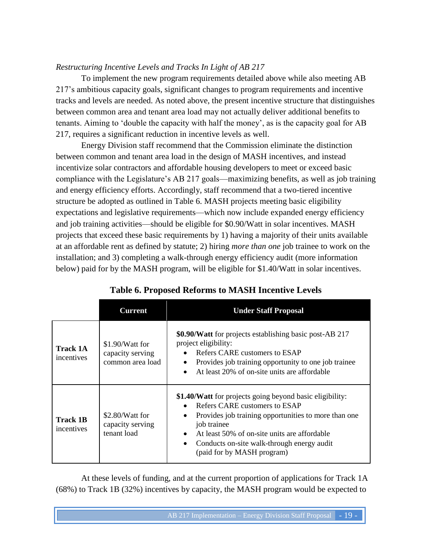## *Restructuring Incentive Levels and Tracks In Light of AB 217*

To implement the new program requirements detailed above while also meeting AB 217's ambitious capacity goals, significant changes to program requirements and incentive tracks and levels are needed. As noted above, the present incentive structure that distinguishes between common area and tenant area load may not actually deliver additional benefits to tenants. Aiming to 'double the capacity with half the money', as is the capacity goal for AB 217, requires a significant reduction in incentive levels as well.

Energy Division staff recommend that the Commission eliminate the distinction between common and tenant area load in the design of MASH incentives, and instead incentivize solar contractors and affordable housing developers to meet or exceed basic compliance with the Legislature's AB 217 goals—maximizing benefits, as well as job training and energy efficiency efforts. Accordingly, staff recommend that a two-tiered incentive structure be adopted as outlined in Table 6. MASH projects meeting basic eligibility expectations and legislative requirements—which now include expanded energy efficiency and job training activities—should be eligible for \$0.90/Watt in solar incentives. MASH projects that exceed these basic requirements by 1) having a majority of their units available at an affordable rent as defined by statute; 2) hiring *more than one* job trainee to work on the installation; and 3) completing a walk-through energy efficiency audit (more information below) paid for by the MASH program, will be eligible for \$1.40/Watt in solar incentives.

<span id="page-18-0"></span>

|                               | Current                                                 | <b>Under Staff Proposal</b>                                                                                                                                                                                                                                                                                                                      |
|-------------------------------|---------------------------------------------------------|--------------------------------------------------------------------------------------------------------------------------------------------------------------------------------------------------------------------------------------------------------------------------------------------------------------------------------------------------|
| <b>Track 1A</b><br>incentives | \$1.90/Watt for<br>capacity serving<br>common area load | \$0.90/Watt for projects establishing basic post-AB 217<br>project eligibility:<br>Refers CARE customers to ESAP<br>$\bullet$<br>Provides job training opportunity to one job trainee<br>$\bullet$<br>At least 20% of on-site units are affordable<br>$\bullet$                                                                                  |
| <b>Track 1B</b><br>incentives | \$2.80/Watt for<br>capacity serving<br>tenant load      | \$1.40/Watt for projects going beyond basic eligibility:<br>Refers CARE customers to ESAP<br>$\bullet$<br>Provides job training opportunities to more than one<br>$\bullet$<br>job trainee<br>At least 50% of on-site units are affordable<br>$\bullet$<br>Conducts on-site walk-through energy audit<br>$\bullet$<br>(paid for by MASH program) |

## **Table 6. Proposed Reforms to MASH Incentive Levels**

At these levels of funding, and at the current proportion of applications for Track 1A (68%) to Track 1B (32%) incentives by capacity, the MASH program would be expected to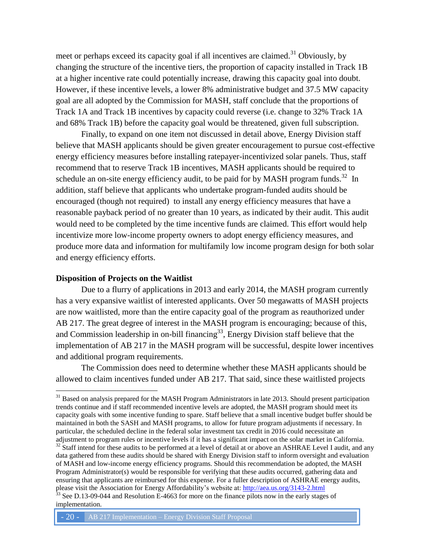meet or perhaps exceed its capacity goal if all incentives are claimed.<sup>31</sup> Obviously, by changing the structure of the incentive tiers, the proportion of capacity installed in Track 1B at a higher incentive rate could potentially increase, drawing this capacity goal into doubt. However, if these incentive levels, a lower 8% administrative budget and 37.5 MW capacity goal are all adopted by the Commission for MASH, staff conclude that the proportions of Track 1A and Track 1B incentives by capacity could reverse (i.e. change to 32% Track 1A and 68% Track 1B) before the capacity goal would be threatened, given full subscription.

Finally, to expand on one item not discussed in detail above, Energy Division staff believe that MASH applicants should be given greater encouragement to pursue cost-effective energy efficiency measures before installing ratepayer-incentivized solar panels. Thus, staff recommend that to reserve Track 1B incentives, MASH applicants should be required to schedule an on-site energy efficiency audit, to be paid for by MASH program funds.<sup>32</sup> In addition, staff believe that applicants who undertake program-funded audits should be encouraged (though not required) to install any energy efficiency measures that have a reasonable payback period of no greater than 10 years, as indicated by their audit. This audit would need to be completed by the time incentive funds are claimed. This effort would help incentivize more low-income property owners to adopt energy efficiency measures, and produce more data and information for multifamily low income program design for both solar and energy efficiency efforts.

#### **Disposition of Projects on the Waitlist**

 $\overline{a}$ 

Due to a flurry of applications in 2013 and early 2014, the MASH program currently has a very expansive waitlist of interested applicants. Over 50 megawatts of MASH projects are now waitlisted, more than the entire capacity goal of the program as reauthorized under AB 217. The great degree of interest in the MASH program is encouraging; because of this, and Commission leadership in on-bill financing<sup>33</sup>, Energy Division staff believe that the implementation of AB 217 in the MASH program will be successful, despite lower incentives and additional program requirements.

The Commission does need to determine whether these MASH applicants should be allowed to claim incentives funded under AB 217. That said, since these waitlisted projects

<sup>&</sup>lt;sup>31</sup> Based on analysis prepared for the MASH Program Administrators in late 2013. Should present participation trends continue and if staff recommended incentive levels are adopted, the MASH program should meet its capacity goals with some incentive funding to spare. Staff believe that a small incentive budget buffer should be maintained in both the SASH and MASH programs, to allow for future program adjustments if necessary. In particular, the scheduled decline in the federal solar investment tax credit in 2016 could necessitate an adjustment to program rules or incentive levels if it has a significant impact on the solar market in California. <sup>32</sup> Staff intend for these audits to be performed at a level of detail at or above an ASHRAE Level I audit, and any data gathered from these audits should be shared with Energy Division staff to inform oversight and evaluation of MASH and low-income energy efficiency programs. Should this recommendation be adopted, the MASH Program Administrator(s) would be responsible for verifying that these audits occurred, gathering data and ensuring that applicants are reimbursed for this expense. For a fuller description of ASHRAE energy audits, please visit the Association for Energy Affordability's website at:<http://aea.us.org/3143-2.html>

<sup>&</sup>lt;sup>33</sup> See D.13-09-044 and Resolution E-4663 for more on the finance pilots now in the early stages of implementation.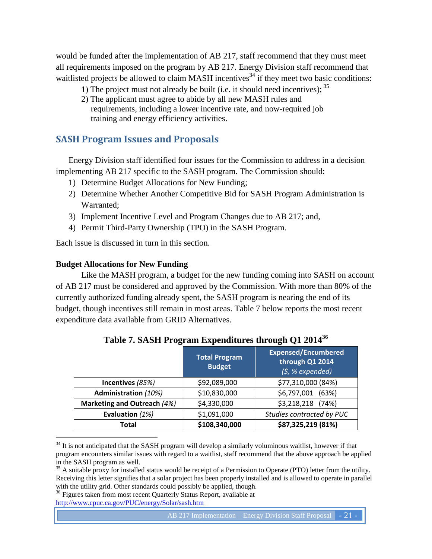would be funded after the implementation of AB 217, staff recommend that they must meet all requirements imposed on the program by AB 217. Energy Division staff recommend that waitlisted projects be allowed to claim MASH incentives<sup>34</sup> if they meet two basic conditions:

- 1) The project must not already be built (i.e. it should need incentives);  $35$
- 2) The applicant must agree to abide by all new MASH rules and requirements, including a lower incentive rate, and now-required job training and energy efficiency activities.

## <span id="page-20-0"></span>**SASH Program Issues and Proposals**

Energy Division staff identified four issues for the Commission to address in a decision implementing AB 217 specific to the SASH program. The Commission should:

- 1) Determine Budget Allocations for New Funding;
- 2) Determine Whether Another Competitive Bid for SASH Program Administration is Warranted;
- 3) Implement Incentive Level and Program Changes due to AB 217; and,
- 4) Permit Third-Party Ownership (TPO) in the SASH Program.

Each issue is discussed in turn in this section.

### **Budget Allocations for New Funding**

 $\overline{a}$ 

Like the MASH program, a budget for the new funding coming into SASH on account of AB 217 must be considered and approved by the Commission. With more than 80% of the currently authorized funding already spent, the SASH program is nearing the end of its budget, though incentives still remain in most areas. Table 7 below reports the most recent expenditure data available from GRID Alternatives.

<span id="page-20-1"></span>

|                             | <b>Total Program</b><br><b>Budget</b> | <b>Expensed/Encumbered</b><br>through Q1 2014<br>$(5, %$ expended) |
|-----------------------------|---------------------------------------|--------------------------------------------------------------------|
| Incentives (85%)            | \$92,089,000                          | \$77,310,000 (84%)                                                 |
| <b>Administration (10%)</b> | \$10,830,000                          | \$6,797,001<br>(63%)                                               |
| Marketing and Outreach (4%) | \$4,330,000                           | \$3,218,218 (74%)                                                  |
| Evaluation (1%)             | \$1,091,000                           | Studies contracted by PUC                                          |
| Total                       | \$108,340,000                         | \$87,325,219 (81%)                                                 |

**Table 7. SASH Program Expenditures through Q1 2014<sup>36</sup>**

<sup>&</sup>lt;sup>34</sup> It is not anticipated that the SASH program will develop a similarly voluminous waitlist, however if that program encounters similar issues with regard to a waitlist, staff recommend that the above approach be applied in the SASH program as well.

<sup>&</sup>lt;sup>35</sup> A suitable proxy for installed status would be receipt of a Permission to Operate (PTO) letter from the utility. Receiving this letter signifies that a solar project has been properly installed and is allowed to operate in parallel with the utility grid. Other standards could possibly be applied, though.

<sup>&</sup>lt;sup>36</sup> Figures taken from most recent Quarterly Status Report, available at <http://www.cpuc.ca.gov/PUC/energy/Solar/sash.htm>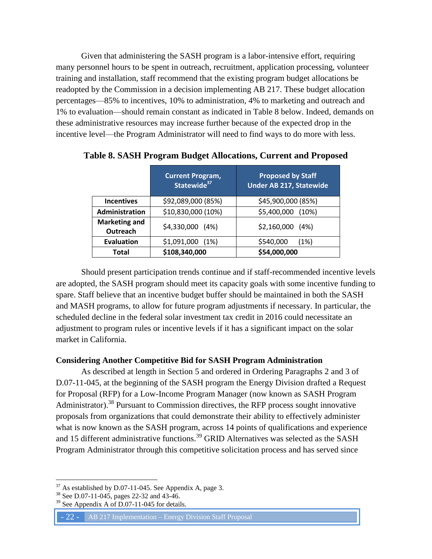Given that administering the SASH program is a labor-intensive effort, requiring many personnel hours to be spent in outreach, recruitment, application processing, volunteer training and installation, staff recommend that the existing program budget allocations be readopted by the Commission in a decision implementing AB 217. These budget allocation percentages—85% to incentives, 10% to administration, 4% to marketing and outreach and 1% to evaluation—should remain constant as indicated in Table 8 below. Indeed, demands on these administrative resources may increase further because of the expected drop in the incentive level—the Program Administrator will need to find ways to do more with less.

|                                  | <b>Current Program,</b><br>Statewide <sup>37</sup> | <b>Proposed by Staff</b><br><b>Under AB 217, Statewide</b> |
|----------------------------------|----------------------------------------------------|------------------------------------------------------------|
| <b>Incentives</b>                | \$92,089,000 (85%)                                 | \$45,900,000 (85%)                                         |
| <b>Administration</b>            | \$10,830,000 (10%)                                 | \$5,400,000 (10%)                                          |
| <b>Marketing and</b><br>Outreach | \$4,330,000 (4%)                                   | $$2,160,000$ (4%)                                          |
| <b>Evaluation</b>                | $$1,091,000$ (1%)                                  | \$540,000<br>(1%)                                          |
| <b>Total</b>                     | \$108,340,000                                      | \$54,000,000                                               |

<span id="page-21-0"></span>**Table 8. SASH Program Budget Allocations, Current and Proposed**

Should present participation trends continue and if staff-recommended incentive levels are adopted, the SASH program should meet its capacity goals with some incentive funding to spare. Staff believe that an incentive budget buffer should be maintained in both the SASH and MASH programs, to allow for future program adjustments if necessary. In particular, the scheduled decline in the federal solar investment tax credit in 2016 could necessitate an adjustment to program rules or incentive levels if it has a significant impact on the solar market in California.

#### **Considering Another Competitive Bid for SASH Program Administration**

As described at length in Section 5 and ordered in Ordering Paragraphs 2 and 3 of D.07-11-045, at the beginning of the SASH program the Energy Division drafted a Request for Proposal (RFP) for a Low-Income Program Manager (now known as SASH Program Administrator).<sup>38</sup> Pursuant to Commission directives, the RFP process sought innovative proposals from organizations that could demonstrate their ability to effectively administer what is now known as the SASH program, across 14 points of qualifications and experience and 15 different administrative functions.<sup>39</sup> GRID Alternatives was selected as the SASH Program Administrator through this competitive solicitation process and has served since

 $\overline{a}$ 

- 22 - AB 217 Implementation – Energy Division Staff Proposal

 $37$  As established by D.07-11-045. See Appendix A, page 3.

<sup>&</sup>lt;sup>38</sup> See D.07-11-045, pages 22-32 and 43-46.

See Appendix A of D.07-11-045 for details.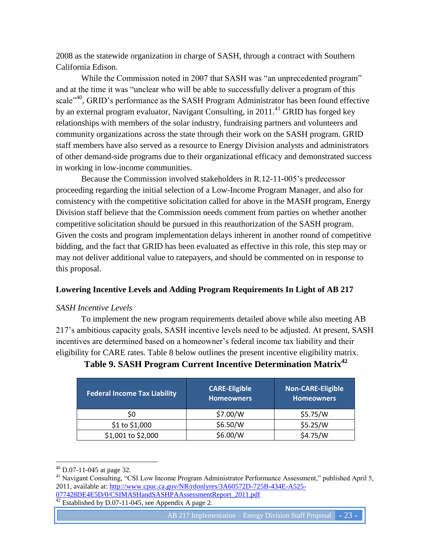2008 as the statewide organization in charge of SASH, through a contract with Southern California Edison.

While the Commission noted in 2007 that SASH was "an unprecedented program" and at the time it was "unclear who will be able to successfully deliver a program of this scale<sup>"40</sup>, GRID's performance as the SASH Program Administrator has been found effective by an external program evaluator, Navigant Consulting, in  $2011<sup>41</sup>$  GRID has forged key relationships with members of the solar industry, fundraising partners and volunteers and community organizations across the state through their work on the SASH program. GRID staff members have also served as a resource to Energy Division analysts and administrators of other demand-side programs due to their organizational efficacy and demonstrated success in working in low-income communities.

Because the Commission involved stakeholders in R.12-11-005's predecessor proceeding regarding the initial selection of a Low-Income Program Manager, and also for consistency with the competitive solicitation called for above in the MASH program, Energy Division staff believe that the Commission needs comment from parties on whether another competitive solicitation should be pursued in this reauthorization of the SASH program. Given the costs and program implementation delays inherent in another round of competitive bidding, and the fact that GRID has been evaluated as effective in this role, this step may or may not deliver additional value to ratepayers, and should be commented on in response to this proposal.

#### **Lowering Incentive Levels and Adding Program Requirements In Light of AB 217**

#### *SASH Incentive Levels*

To implement the new program requirements detailed above while also meeting AB 217's ambitious capacity goals, SASH incentive levels need to be adjusted. At present, SASH incentives are determined based on a homeowner's federal income tax liability and their eligibility for CARE rates. Table 8 below outlines the present incentive eligibility matrix.

| <b>Federal Income Tax Liability</b> | <b>CARE-Eligible</b><br><b>Homeowners</b> | <b>Non-CARE-Eligible</b><br><b>Homeowners</b> |
|-------------------------------------|-------------------------------------------|-----------------------------------------------|
| S0                                  | \$7.00/W                                  | \$5.75/W                                      |
| \$1 to \$1,000                      | \$6.50/W                                  | \$5.25/W                                      |
| \$1,001 to \$2,000                  | \$6.00/W                                  | \$4.75/W                                      |

## <span id="page-22-0"></span>**Table 9. SASH Program Current Incentive Determination Matrix<sup>42</sup>**

 $\overline{a}$ 

 $\frac{42}{42}$  Established by D.07-11-045, see Appendix A page 2.

 $^{40}$  D.07-11-045 at page 32.

<sup>&</sup>lt;sup>41</sup> Navigant Consulting, "CSI Low Income Program Administrator Performance Assessment," published April 5, 2011, available at: [http://www.cpuc.ca.gov/NR/rdonlyres/3A60572D-725B-434E-A525-](http://www.cpuc.ca.gov/NR/rdonlyres/3A60572D-725B-434E-A525-077428DE4E5D/0/CSIMASHandSASHPAAssessmentReport_2011.pdf) [077428DE4E5D/0/CSIMASHandSASHPAAssessmentReport\\_2011.pdf](http://www.cpuc.ca.gov/NR/rdonlyres/3A60572D-725B-434E-A525-077428DE4E5D/0/CSIMASHandSASHPAAssessmentReport_2011.pdf)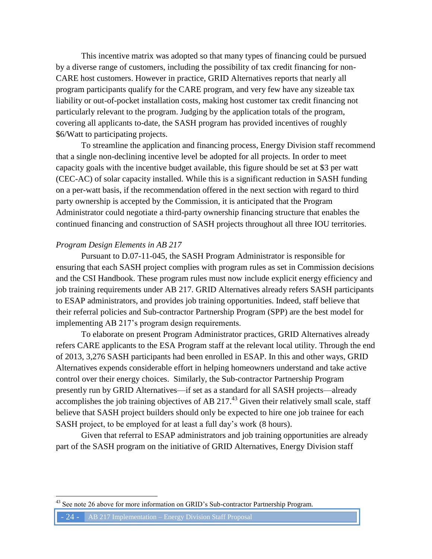This incentive matrix was adopted so that many types of financing could be pursued by a diverse range of customers, including the possibility of tax credit financing for non-CARE host customers. However in practice, GRID Alternatives reports that nearly all program participants qualify for the CARE program, and very few have any sizeable tax liability or out-of-pocket installation costs, making host customer tax credit financing not particularly relevant to the program. Judging by the application totals of the program, covering all applicants to-date, the SASH program has provided incentives of roughly \$6/Watt to participating projects.

To streamline the application and financing process, Energy Division staff recommend that a single non-declining incentive level be adopted for all projects. In order to meet capacity goals with the incentive budget available, this figure should be set at \$3 per watt (CEC-AC) of solar capacity installed. While this is a significant reduction in SASH funding on a per-watt basis, if the recommendation offered in the next section with regard to third party ownership is accepted by the Commission, it is anticipated that the Program Administrator could negotiate a third-party ownership financing structure that enables the continued financing and construction of SASH projects throughout all three IOU territories.

#### *Program Design Elements in AB 217*

Pursuant to D.07-11-045, the SASH Program Administrator is responsible for ensuring that each SASH project complies with program rules as set in Commission decisions and the CSI Handbook. These program rules must now include explicit energy efficiency and job training requirements under AB 217. GRID Alternatives already refers SASH participants to ESAP administrators, and provides job training opportunities. Indeed, staff believe that their referral policies and Sub-contractor Partnership Program (SPP) are the best model for implementing AB 217's program design requirements.

To elaborate on present Program Administrator practices, GRID Alternatives already refers CARE applicants to the ESA Program staff at the relevant local utility. Through the end of 2013, 3,276 SASH participants had been enrolled in ESAP. In this and other ways, GRID Alternatives expends considerable effort in helping homeowners understand and take active control over their energy choices. Similarly, the Sub-contractor Partnership Program presently run by GRID Alternatives—if set as a standard for all SASH projects—already accomplishes the job training objectives of AB 217. $^{43}$  Given their relatively small scale, staff believe that SASH project builders should only be expected to hire one job trainee for each SASH project, to be employed for at least a full day's work (8 hours).

Given that referral to ESAP administrators and job training opportunities are already part of the SASH program on the initiative of GRID Alternatives, Energy Division staff

See note 26 above for more information on GRID's Sub-contractor Partnership Program.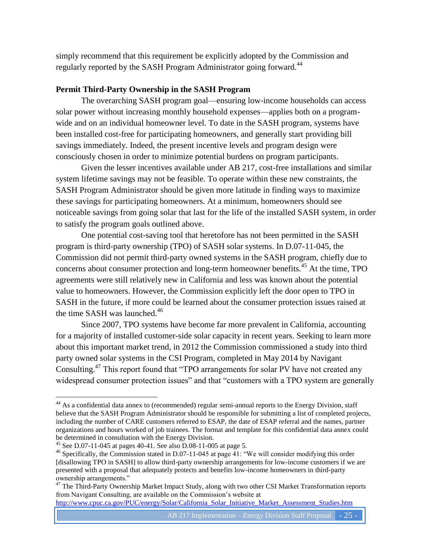simply recommend that this requirement be explicitly adopted by the Commission and regularly reported by the SASH Program Administrator going forward.<sup>44</sup>

### **Permit Third-Party Ownership in the SASH Program**

The overarching SASH program goal—ensuring low-income households can access solar power without increasing monthly household expenses—applies both on a programwide and on an individual homeowner level. To date in the SASH program, systems have been installed cost-free for participating homeowners, and generally start providing bill savings immediately. Indeed, the present incentive levels and program design were consciously chosen in order to minimize potential burdens on program participants.

Given the lesser incentives available under AB 217, cost-free installations and similar system lifetime savings may not be feasible. To operate within these new constraints, the SASH Program Administrator should be given more latitude in finding ways to maximize these savings for participating homeowners. At a minimum, homeowners should see noticeable savings from going solar that last for the life of the installed SASH system, in order to satisfy the program goals outlined above.

One potential cost-saving tool that heretofore has not been permitted in the SASH program is third-party ownership (TPO) of SASH solar systems. In D.07-11-045, the Commission did not permit third-party owned systems in the SASH program, chiefly due to concerns about consumer protection and long-term homeowner benefits.<sup>45</sup> At the time, TPO agreements were still relatively new in California and less was known about the potential value to homeowners. However, the Commission explicitly left the door open to TPO in SASH in the future, if more could be learned about the consumer protection issues raised at the time SASH was launched. $46$ 

Since 2007, TPO systems have become far more prevalent in California, accounting for a majority of installed customer-side solar capacity in recent years. Seeking to learn more about this important market trend, in 2012 the Commission commissioned a study into third party owned solar systems in the CSI Program, completed in May 2014 by Navigant Consulting.<sup>47</sup> This report found that "TPO arrangements for solar PV have not created any widespread consumer protection issues" and that "customers with a TPO system are generally

 $\overline{a}$ 

<sup>47</sup> The Third-Party Ownership Market Impact Study, along with two other CSI Market Transformation reports from Navigant Consulting, are available on the Commission's website at

[http://www.cpuc.ca.gov/PUC/energy/Solar/California\\_Solar\\_Initiative\\_Market\\_Assessment\\_Studies.htm](http://www.cpuc.ca.gov/PUC/energy/Solar/California_Solar_Initiative_Market_Assessment_Studies.htm)

 $44$  As a confidential data annex to (recommended) regular semi-annual reports to the Energy Division, staff believe that the SASH Program Administrator should be responsible for submitting a list of completed projects, including the number of CARE customers referred to ESAP, the date of ESAP referral and the names, partner organizations and hours worked of job trainees. The format and template for this confidential data annex could be determined in consultation with the Energy Division.

<sup>45</sup> See D.07-11-045 at pages 40-41. See also D.08-11-005 at page 5.

<sup>&</sup>lt;sup>46</sup> Specifically, the Commission stated in D.07-11-045 at page 41: "We will consider modifying this order [disallowing TPO in SASH] to allow third-party ownership arrangements for low-income customers if we are presented with a proposal that adequately protects and benefits low-income homeowners in third-party ownership arrangements."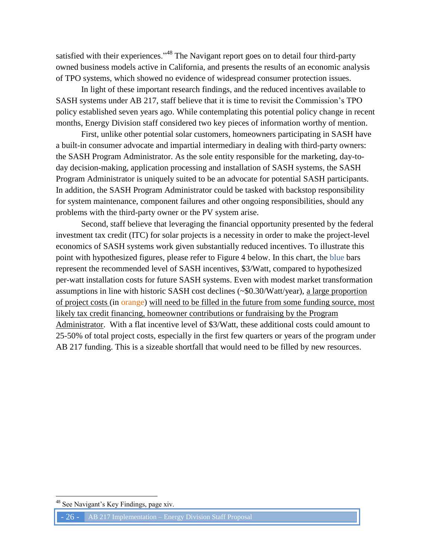satisfied with their experiences."<sup>48</sup> The Navigant report goes on to detail four third-party owned business models active in California, and presents the results of an economic analysis of TPO systems, which showed no evidence of widespread consumer protection issues.

In light of these important research findings, and the reduced incentives available to SASH systems under AB 217, staff believe that it is time to revisit the Commission's TPO policy established seven years ago. While contemplating this potential policy change in recent months, Energy Division staff considered two key pieces of information worthy of mention.

First, unlike other potential solar customers, homeowners participating in SASH have a built-in consumer advocate and impartial intermediary in dealing with third-party owners: the SASH Program Administrator. As the sole entity responsible for the marketing, day-today decision-making, application processing and installation of SASH systems, the SASH Program Administrator is uniquely suited to be an advocate for potential SASH participants. In addition, the SASH Program Administrator could be tasked with backstop responsibility for system maintenance, component failures and other ongoing responsibilities, should any problems with the third-party owner or the PV system arise.

Second, staff believe that leveraging the financial opportunity presented by the federal investment tax credit (ITC) for solar projects is a necessity in order to make the project-level economics of SASH systems work given substantially reduced incentives. To illustrate this point with hypothesized figures, please refer to Figure 4 below. In this chart, the blue bars represent the recommended level of SASH incentives, \$3/Watt, compared to hypothesized per-watt installation costs for future SASH systems. Even with modest market transformation assumptions in line with historic SASH cost declines (~\$0.30/Watt/year), a large proportion of project costs (in orange) will need to be filled in the future from some funding source, most likely tax credit financing, homeowner contributions or fundraising by the Program Administrator. With a flat incentive level of \$3/Watt, these additional costs could amount to 25-50% of total project costs, especially in the first few quarters or years of the program under AB 217 funding. This is a sizeable shortfall that would need to be filled by new resources.

See Navigant's Key Findings, page xiv.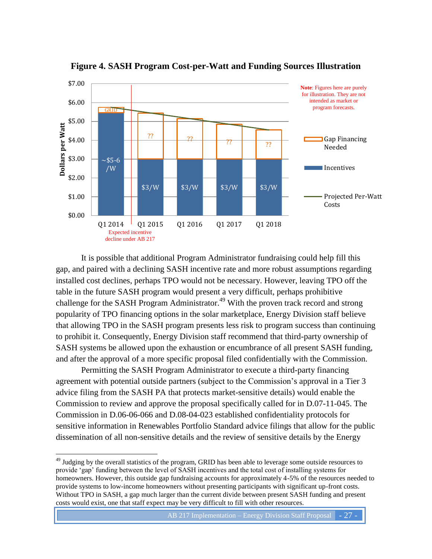<span id="page-26-0"></span>

**Figure 4. SASH Program Cost-per-Watt and Funding Sources Illustration**

It is possible that additional Program Administrator fundraising could help fill this gap, and paired with a declining SASH incentive rate and more robust assumptions regarding installed cost declines, perhaps TPO would not be necessary. However, leaving TPO off the table in the future SASH program would present a very difficult, perhaps prohibitive challenge for the SASH Program Administrator.<sup>49</sup> With the proven track record and strong popularity of TPO financing options in the solar marketplace, Energy Division staff believe that allowing TPO in the SASH program presents less risk to program success than continuing to prohibit it. Consequently, Energy Division staff recommend that third-party ownership of SASH systems be allowed upon the exhaustion or encumbrance of all present SASH funding, and after the approval of a more specific proposal filed confidentially with the Commission.

Permitting the SASH Program Administrator to execute a third-party financing agreement with potential outside partners (subject to the Commission's approval in a Tier 3 advice filing from the SASH PA that protects market-sensitive details) would enable the Commission to review and approve the proposal specifically called for in D.07-11-045. The Commission in D.06-06-066 and D.08-04-023 established confidentiality protocols for sensitive information in Renewables Portfolio Standard advice filings that allow for the public dissemination of all non-sensitive details and the review of sensitive details by the Energy

<sup>&</sup>lt;sup>49</sup> Judging by the overall statistics of the program, GRID has been able to leverage some outside resources to provide 'gap' funding between the level of SASH incentives and the total cost of installing systems for homeowners. However, this outside gap fundraising accounts for approximately 4-5% of the resources needed to provide systems to low-income homeowners without presenting participants with significant up-front costs. Without TPO in SASH, a gap much larger than the current divide between present SASH funding and present costs would exist, one that staff expect may be very difficult to fill with other resources.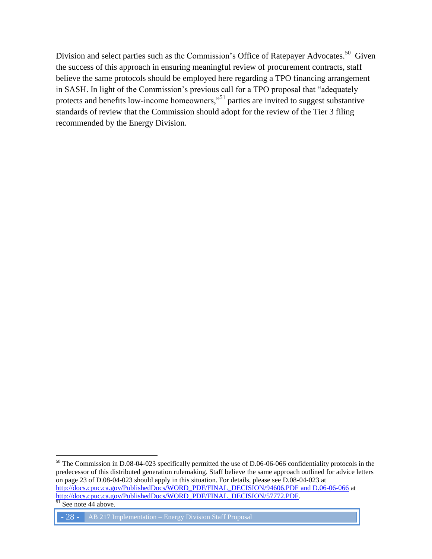Division and select parties such as the Commission's Office of Ratepayer Advocates.<sup>50</sup> Given the success of this approach in ensuring meaningful review of procurement contracts, staff believe the same protocols should be employed here regarding a TPO financing arrangement in SASH. In light of the Commission's previous call for a TPO proposal that "adequately protects and benefits low-income homeowners,"<sup>51</sup> parties are invited to suggest substantive standards of review that the Commission should adopt for the review of the Tier 3 filing recommended by the Energy Division.

 $\overline{a}$  $50$  The Commission in D.08-04-023 specifically permitted the use of D.06-06-066 confidentiality protocols in the predecessor of this distributed generation rulemaking. Staff believe the same approach outlined for advice letters on page 23 of D.08-04-023 should apply in this situation. For details, please see D.08-04-023 at [http://docs.cpuc.ca.gov/PublishedDocs/WORD\\_PDF/FINAL\\_DECISION/94606.PDF](http://docs.cpuc.ca.gov/PublishedDocs/WORD_PDF/FINAL_DECISION/94606.PDF%20and%20D.06-06-066) and D.06-06-066 at [http://docs.cpuc.ca.gov/PublishedDocs/WORD\\_PDF/FINAL\\_DECISION/57772.PDF.](http://docs.cpuc.ca.gov/PublishedDocs/WORD_PDF/FINAL_DECISION/57772.PDF)  $51$  See note 44 above.

<sup>- 28 -</sup> AB 217 Implementation – Energy Division Staff Proposal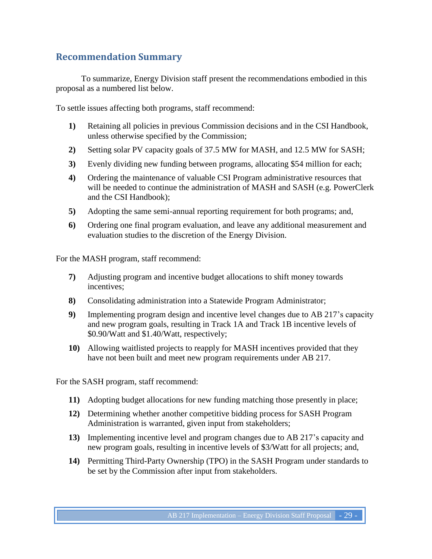## <span id="page-28-0"></span>**Recommendation Summary**

To summarize, Energy Division staff present the recommendations embodied in this proposal as a numbered list below.

To settle issues affecting both programs, staff recommend:

- **1)** Retaining all policies in previous Commission decisions and in the CSI Handbook, unless otherwise specified by the Commission;
- **2)** Setting solar PV capacity goals of 37.5 MW for MASH, and 12.5 MW for SASH;
- **3)** Evenly dividing new funding between programs, allocating \$54 million for each;
- **4)** Ordering the maintenance of valuable CSI Program administrative resources that will be needed to continue the administration of MASH and SASH (e.g. PowerClerk and the CSI Handbook);
- **5)** Adopting the same semi-annual reporting requirement for both programs; and,
- **6)** Ordering one final program evaluation, and leave any additional measurement and evaluation studies to the discretion of the Energy Division.

For the MASH program, staff recommend:

- **7)** Adjusting program and incentive budget allocations to shift money towards incentives;
- **8)** Consolidating administration into a Statewide Program Administrator;
- **9)** Implementing program design and incentive level changes due to AB 217's capacity and new program goals, resulting in Track 1A and Track 1B incentive levels of \$0.90/Watt and \$1.40/Watt, respectively;
- **10)** Allowing waitlisted projects to reapply for MASH incentives provided that they have not been built and meet new program requirements under AB 217.

For the SASH program, staff recommend:

- **11)** Adopting budget allocations for new funding matching those presently in place;
- **12)** Determining whether another competitive bidding process for SASH Program Administration is warranted, given input from stakeholders;
- **13)** Implementing incentive level and program changes due to AB 217's capacity and new program goals, resulting in incentive levels of \$3/Watt for all projects; and,
- **14)** Permitting Third-Party Ownership (TPO) in the SASH Program under standards to be set by the Commission after input from stakeholders.